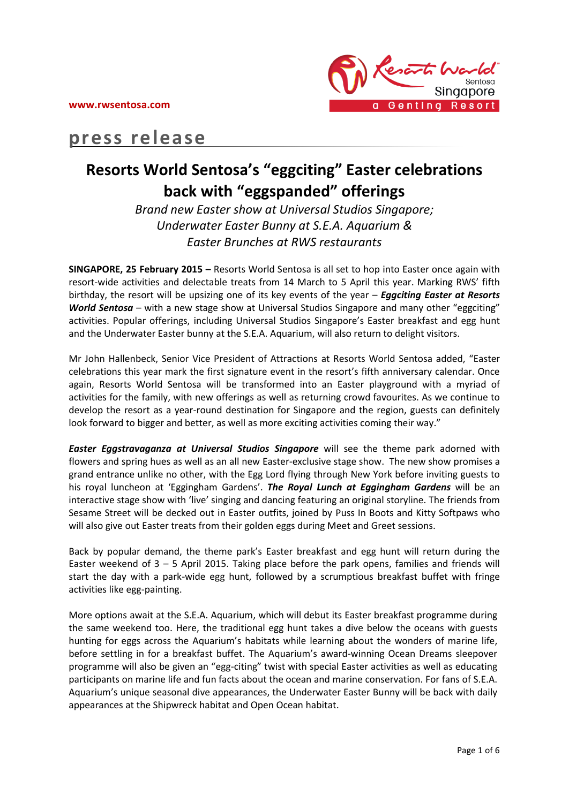

# **press release**

## **Resorts World Sentosa's "eggciting" Easter celebrations back with "eggspanded" offerings**

*Brand new Easter show at Universal Studios Singapore; Underwater Easter Bunny at S.E.A. Aquarium & Easter Brunches at RWS restaurants*

**SINGAPORE, 25 February 2015 –** Resorts World Sentosa is all set to hop into Easter once again with resort-wide activities and delectable treats from 14 March to 5 April this year. Marking RWS' fifth birthday, the resort will be upsizing one of its key events of the year – *Eggciting Easter at Resorts*  **World Sentosa** – with a new stage show at Universal Studios Singapore and many other "eggciting" activities. Popular offerings, including Universal Studios Singapore's Easter breakfast and egg hunt and the Underwater Easter bunny at the S.E.A. Aquarium, will also return to delight visitors.

Mr John Hallenbeck, Senior Vice President of Attractions at Resorts World Sentosa added, "Easter celebrations this year mark the first signature event in the resort's fifth anniversary calendar. Once again, Resorts World Sentosa will be transformed into an Easter playground with a myriad of activities for the family, with new offerings as well as returning crowd favourites. As we continue to develop the resort as a year-round destination for Singapore and the region, guests can definitely look forward to bigger and better, as well as more exciting activities coming their way."

*Easter Eggstravaganza at Universal Studios Singapore* will see the theme park adorned with flowers and spring hues as well as an all new Easter-exclusive stage show. The new show promises a grand entrance unlike no other, with the Egg Lord flying through New York before inviting guests to his royal luncheon at 'Eggingham Gardens'. *The Royal Lunch at Eggingham Gardens* will be an interactive stage show with 'live' singing and dancing featuring an original storyline. The friends from Sesame Street will be decked out in Easter outfits, joined by Puss In Boots and Kitty Softpaws who will also give out Easter treats from their golden eggs during Meet and Greet sessions.

Back by popular demand, the theme park's Easter breakfast and egg hunt will return during the Easter weekend of 3 – 5 April 2015. Taking place before the park opens, families and friends will start the day with a park-wide egg hunt, followed by a scrumptious breakfast buffet with fringe activities like egg-painting.

More options await at the S.E.A. Aquarium, which will debut its Easter breakfast programme during the same weekend too. Here, the traditional egg hunt takes a dive below the oceans with guests hunting for eggs across the Aquarium's habitats while learning about the wonders of marine life, before settling in for a breakfast buffet. The Aquarium's award-winning Ocean Dreams sleepover programme will also be given an "egg-citing" twist with special Easter activities as well as educating participants on marine life and fun facts about the ocean and marine conservation. For fans of S.E.A. Aquarium's unique seasonal dive appearances, the Underwater Easter Bunny will be back with daily appearances at the Shipwreck habitat and Open Ocean habitat.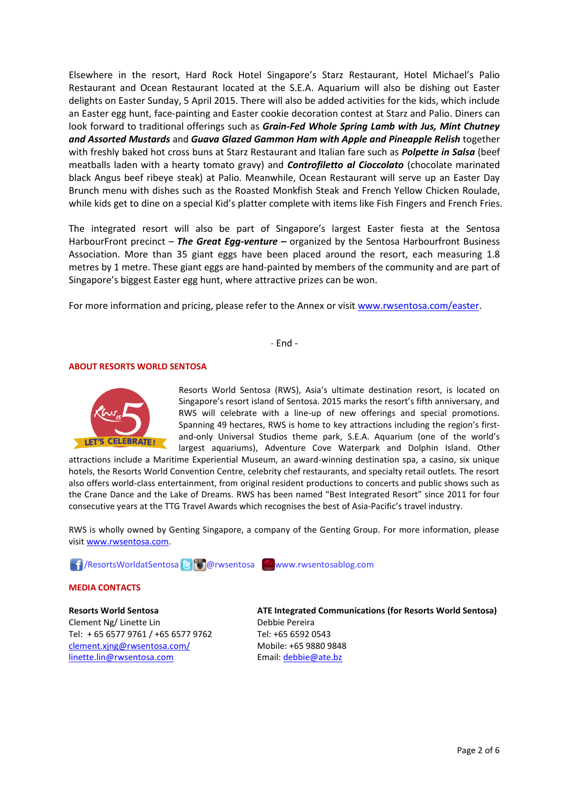Elsewhere in the resort, Hard Rock Hotel Singapore's Starz Restaurant, Hotel Michael's Palio Restaurant and Ocean Restaurant located at the S.E.A. Aquarium will also be dishing out Easter delights on Easter Sunday, 5 April 2015. There will also be added activities for the kids, which include an Easter egg hunt, face-painting and Easter cookie decoration contest at Starz and Palio. Diners can look forward to traditional offerings such as *Grain-Fed Whole Spring Lamb with Jus, Mint Chutney and Assorted Mustards* and *Guava Glazed Gammon Ham with Apple and Pineapple Relish* together with freshly baked hot cross buns at Starz Restaurant and Italian fare such as *Polpette in Salsa* (beef meatballs laden with a hearty tomato gravy) and *Controfiletto al Cioccolato* (chocolate marinated black Angus beef ribeye steak) at Palio. Meanwhile, Ocean Restaurant will serve up an Easter Day Brunch menu with dishes such as the Roasted Monkfish Steak and French Yellow Chicken Roulade, while kids get to dine on a special Kid's platter complete with items like Fish Fingers and French Fries.

The integrated resort will also be part of Singapore's largest Easter fiesta at the Sentosa HarbourFront precinct – **The Great Egg-venture** – organized by the Sentosa Harbourfront Business Association. More than 35 giant eggs have been placed around the resort, each measuring 1.8 metres by 1 metre. These giant eggs are hand-painted by members of the community and are part of Singapore's biggest Easter egg hunt, where attractive prizes can be won.

For more information and pricing, please refer to the Annex or visit [www.rwsentosa.com/easter.](http://www.rwsentosa.com/easter)

- End -

## **ABOUT RESORTS WORLD SENTOSA**



Resorts World Sentosa (RWS), Asia's ultimate destination resort, is located on Singapore's resort island of Sentosa. 2015 marks the resort's fifth anniversary, and RWS will celebrate with a line-up of new offerings and special promotions. Spanning 49 hectares, RWS is home to key attractions including the region's firstand-only Universal Studios theme park, S.E.A. Aquarium (one of the world's largest aquariums), Adventure Cove Waterpark and Dolphin Island. Other

attractions include a Maritime Experiential Museum, an award-winning destination spa, a casino, six unique hotels, the Resorts World Convention Centre, celebrity chef restaurants, and specialty retail outlets. The resort also offers world-class entertainment, from original resident productions to concerts and public shows such as the Crane Dance and the Lake of Dreams. RWS has been named "Best Integrated Resort" since 2011 for four consecutive years at the TTG Travel Awards which recognises the best of Asia-Pacific's travel industry.

RWS is wholly owned by Genting Singapore, a company of the Genting Group. For more information, please visi[t www.rwsentosa.com.](http://www.rwsentosa.com/)

**17**/ResortsWorldatSentosa **B @**rwsentosa Www.rwsentosablog.com

#### **MEDIA CONTACTS**

**Resorts World Sentosa** Clement Ng/ Linette Lin Tel: + 65 6577 9761 / +65 6577 9762 [clement.xjng@rwsentosa.com/](mailto:clement.xjng@rwsentosa.com/) [linette.lin@rwsentosa.com](mailto:linette.lin@rwsentosa.com)

**ATE Integrated Communications (for Resorts World Sentosa)** Debbie Pereira Tel: +65 6592 0543 Mobile: +65 9880 9848 Email[: debbie@ate.bz](mailto:debbie@ate.bz)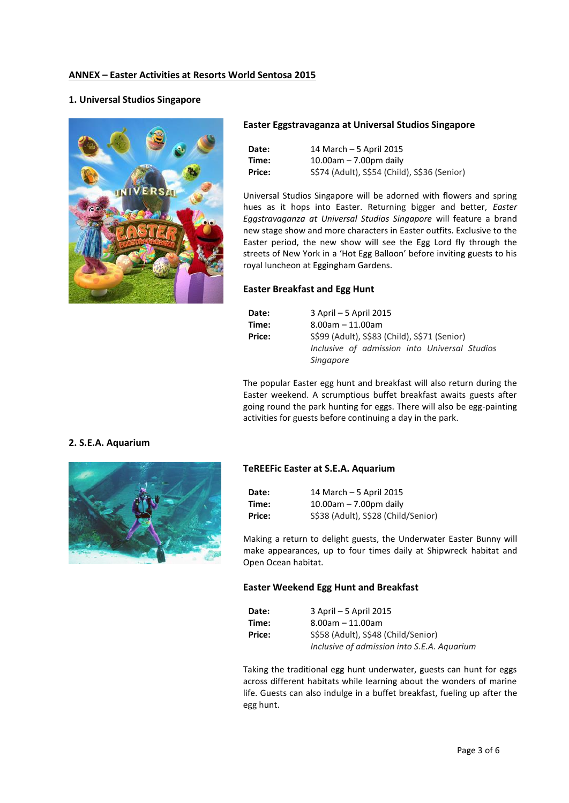## **ANNEX – Easter Activities at Resorts World Sentosa 2015**

## **1. Universal Studios Singapore**



#### **Easter Eggstravaganza at Universal Studios Singapore**

| Date:  | 14 March - 5 April 2015                      |
|--------|----------------------------------------------|
| Time:  | $10.00$ am – 7.00pm daily                    |
| Price: | S\$74 (Adult), S\$54 (Child), S\$36 (Senior) |

Universal Studios Singapore will be adorned with flowers and spring hues as it hops into Easter. Returning bigger and better, *Easter Eggstravaganza at Universal Studios Singapore* will feature a brand new stage show and more characters in Easter outfits. Exclusive to the Easter period, the new show will see the Egg Lord fly through the streets of New York in a 'Hot Egg Balloon' before inviting guests to his royal luncheon at Eggingham Gardens.

## **Easter Breakfast and Egg Hunt**

| Date:  | 3 April – 5 April 2015                        |
|--------|-----------------------------------------------|
| Time:  | $8.00$ am $-11.00$ am                         |
| Price: | S\$99 (Adult), S\$83 (Child), S\$71 (Senior)  |
|        | Inclusive of admission into Universal Studios |
|        | <i>Singapore</i>                              |

The popular Easter egg hunt and breakfast will also return during the Easter weekend. A scrumptious buffet breakfast awaits guests after going round the park hunting for eggs. There will also be egg-painting activities for guests before continuing a day in the park.

## **2. S.E.A. Aquarium**



#### **TeREEFic Easter at S.E.A. Aquarium**

| Date:  | 14 March - 5 April 2015             |
|--------|-------------------------------------|
| Time:  | $10.00$ am – 7.00pm daily           |
| Price: | S\$38 (Adult), S\$28 (Child/Senior) |

Making a return to delight guests, the Underwater Easter Bunny will make appearances, up to four times daily at Shipwreck habitat and Open Ocean habitat.

#### **Easter Weekend Egg Hunt and Breakfast**

| Date:  | 3 April – 5 April 2015                      |
|--------|---------------------------------------------|
| Time:  | $8.00$ am – 11.00am                         |
| Price: | S\$58 (Adult), S\$48 (Child/Senior)         |
|        | Inclusive of admission into S.E.A. Aquarium |

Taking the traditional egg hunt underwater, guests can hunt for eggs across different habitats while learning about the wonders of marine life. Guests can also indulge in a buffet breakfast, fueling up after the egg hunt.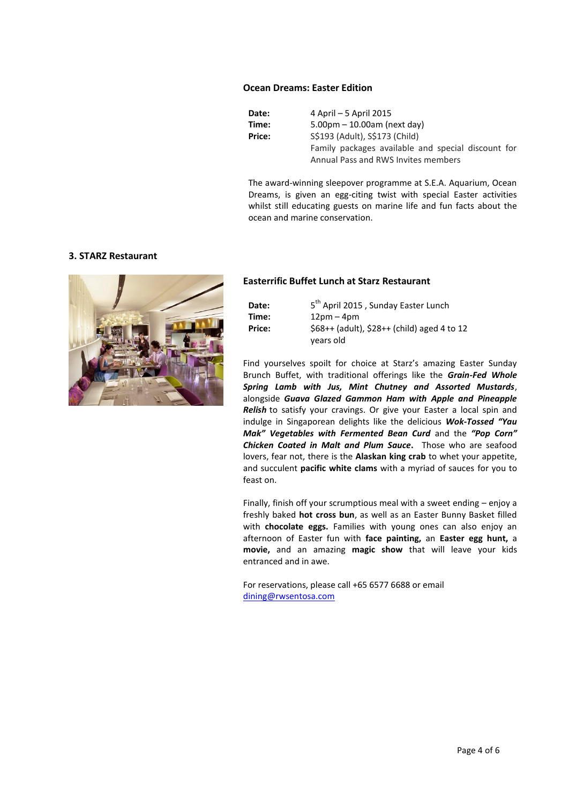## **Ocean Dreams: Easter Edition**

**Date:** 4 April – 5 April 2015 **Time:** 5.00pm – 10.00am (next day) **Price:** S\$193 (Adult), S\$173 (Child) Family packages available and special discount for Annual Pass and RWS Invites members

The award-winning sleepover programme at S.E.A. Aquarium, Ocean Dreams, is given an egg-citing twist with special Easter activities whilst still educating guests on marine life and fun facts about the ocean and marine conservation.

## **3. STARZ Restaurant**



#### **Easterrific Buffet Lunch at Starz Restaurant**

| Date:  | 5 <sup>th</sup> April 2015, Sunday Easter Lunch |
|--------|-------------------------------------------------|
| Time:  | $12pm - 4pm$                                    |
| Price: | $$68++$ (adult), $$28++$ (child) aged 4 to 12   |
|        | vears old                                       |

Find yourselves spoilt for choice at Starz's amazing Easter Sunday Brunch Buffet, with traditional offerings like the *Grain-Fed Whole Spring Lamb with Jus, Mint Chutney and Assorted Mustards*, alongside *Guava Glazed Gammon Ham with Apple and Pineapple Relish* to satisfy your cravings. Or give your Easter a local spin and indulge in Singaporean delights like the delicious *Wok-Tossed "Yau Mak" Vegetables with Fermented Bean Curd* and the *"Pop Corn" Chicken Coated in Malt and Plum Sauce***.** Those who are seafood lovers, fear not, there is the **Alaskan king crab** to whet your appetite, and succulent **pacific white clams** with a myriad of sauces for you to feast on.

Finally, finish off your scrumptious meal with a sweet ending – enjoy a freshly baked **hot cross bun**, as well as an Easter Bunny Basket filled with **chocolate eggs.** Families with young ones can also enjoy an afternoon of Easter fun with **face painting,** an **Easter egg hunt,** a **movie,** and an amazing **magic show** that will leave your kids entranced and in awe.

For reservations, please call +65 6577 6688 or email [dining@rwsentosa.com](mailto:dining@rwsentosa.com)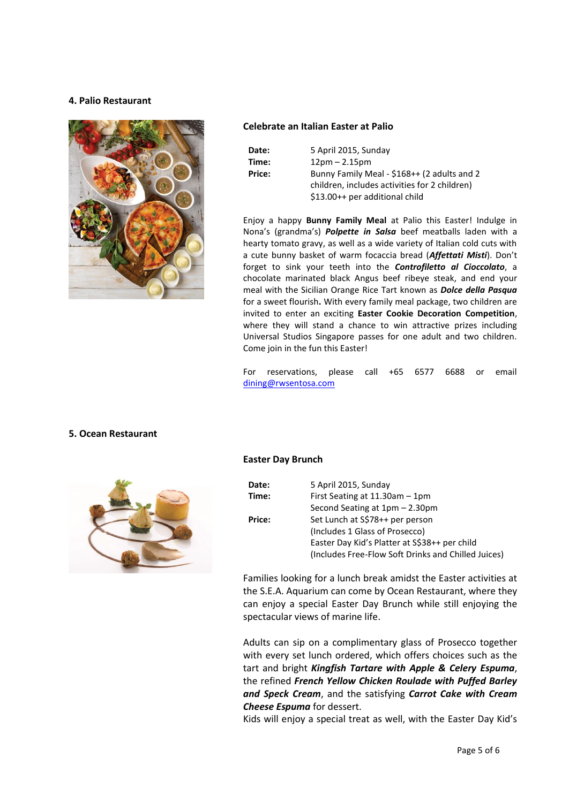## **4. Palio Restaurant**



## **Celebrate an Italian Easter at Palio**

| Date:  | 5 April 2015, Sunday                          |
|--------|-----------------------------------------------|
| Time:  | $12pm - 2.15pm$                               |
| Price: | Bunny Family Meal - \$168++ (2 adults and 2   |
|        | children, includes activities for 2 children) |
|        | \$13.00++ per additional child                |

Enjoy a happy **Bunny Family Meal** at Palio this Easter! Indulge in Nona's (grandma's) *Polpette in Salsa* beef meatballs laden with a hearty tomato gravy, as well as a wide variety of Italian cold cuts with a cute bunny basket of warm focaccia bread (*Affettati Misti*). Don't forget to sink your teeth into the *Controfiletto al Cioccolato*, a chocolate marinated black Angus beef ribeye steak, and end your meal with the Sicilian Orange Rice Tart known as *Dolce della Pasqua* for a sweet flourish**.** With every family meal package, two children are invited to enter an exciting **Easter Cookie Decoration Competition**, where they will stand a chance to win attractive prizes including Universal Studios Singapore passes for one adult and two children. Come join in the fun this Easter!

For reservations, please call +65 6577 6688 or email [dining@rwsentosa.com](mailto:dining@rwsentosa.com)

## **5. Ocean Restaurant**



## **Easter Day Brunch**

| <b>Date:</b> | 5 April 2015, Sunday                                |
|--------------|-----------------------------------------------------|
| Time:        | First Seating at $11.30$ am $-1$ pm                 |
|              | Second Seating at 1pm – 2.30pm                      |
| Price:       | Set Lunch at S\$78++ per person                     |
|              | (Includes 1 Glass of Prosecco)                      |
|              | Easter Day Kid's Platter at S\$38++ per child       |
|              | (Includes Free-Flow Soft Drinks and Chilled Juices) |

Families looking for a lunch break amidst the Easter activities at the S.E.A. Aquarium can come by Ocean Restaurant, where they can enjoy a special Easter Day Brunch while still enjoying the spectacular views of marine life.

Adults can sip on a complimentary glass of Prosecco together with every set lunch ordered, which offers choices such as the tart and bright *Kingfish Tartare with Apple & Celery Espuma*, the refined *French Yellow Chicken Roulade with Puffed Barley and Speck Cream*, and the satisfying *Carrot Cake with Cream Cheese Espuma* for dessert.

Kids will enjoy a special treat as well, with the Easter Day Kid's